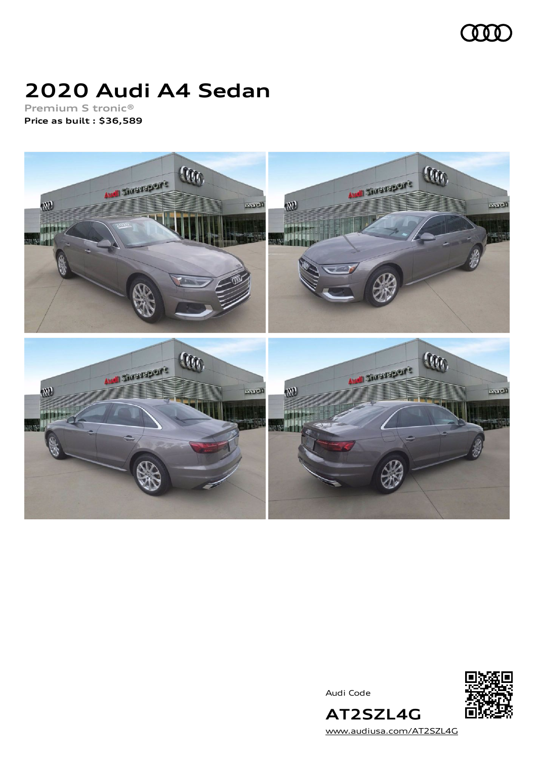

### **2020 Audi A4 Sedan**

**Premium S tronic® Price as built [:](#page-8-0) \$36,589**



Audi Code



[www.audiusa.com/AT2SZL4G](https://www.audiusa.com/AT2SZL4G)

**AT2SZL4G**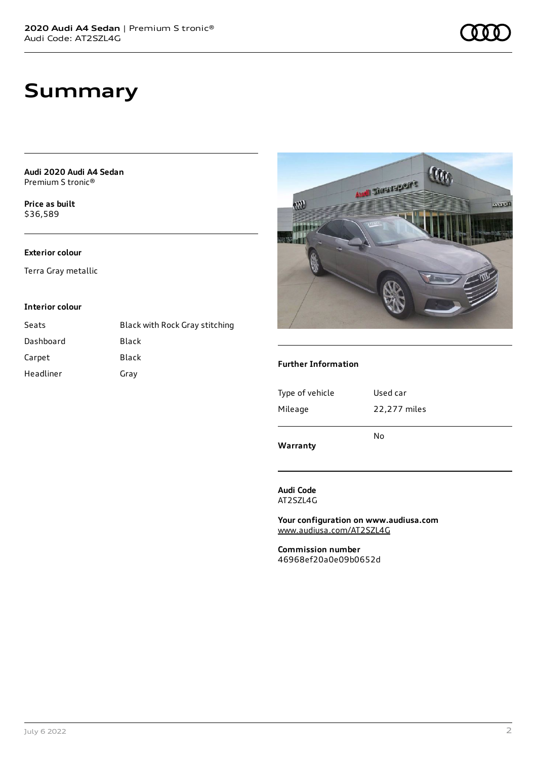**Audi 2020 Audi A4 Sedan** Premium S tronic®

**Price as buil[t](#page-8-0)** \$36,589

#### **Exterior colour**

Terra Gray metallic

#### **Interior colour**

| Seats     | Black with Rock Gray stitching |
|-----------|--------------------------------|
| Dashboard | Black                          |
| Carpet    | Black                          |
| Headliner | Gray                           |



#### **Further Information**

**Warranty**

#### **Audi Code** AT2SZL4G

**Your configuration on www.audiusa.com** [www.audiusa.com/AT2SZL4G](https://www.audiusa.com/AT2SZL4G)

**Commission number** 46968ef20a0e09b0652d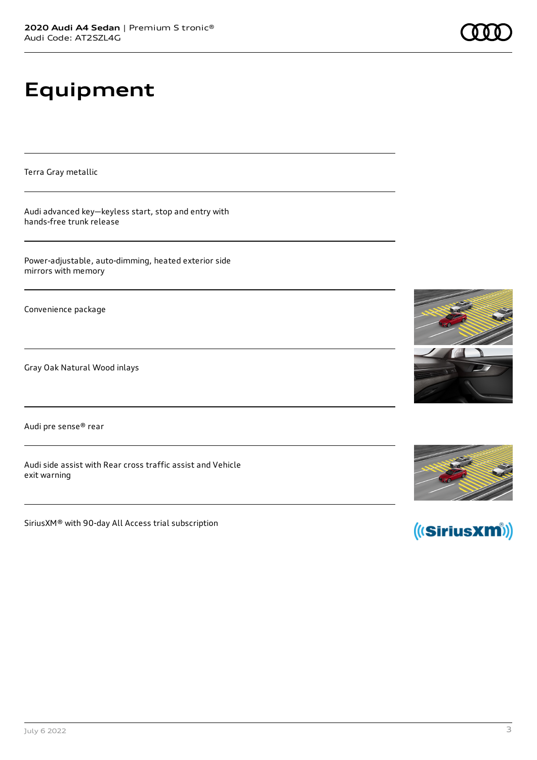# **Equipment**

Terra Gray metallic

Audi advanced key—keyless start, stop and entry with hands-free trunk release

Power-adjustable, auto-dimming, heated exterior side mirrors with memory

Convenience package

Gray Oak Natural Wood inlays

Audi pre sense® rear

Audi side assist with Rear cross traffic assist and Vehicle exit warning

SiriusXM® with 90-day All Access trial subscription





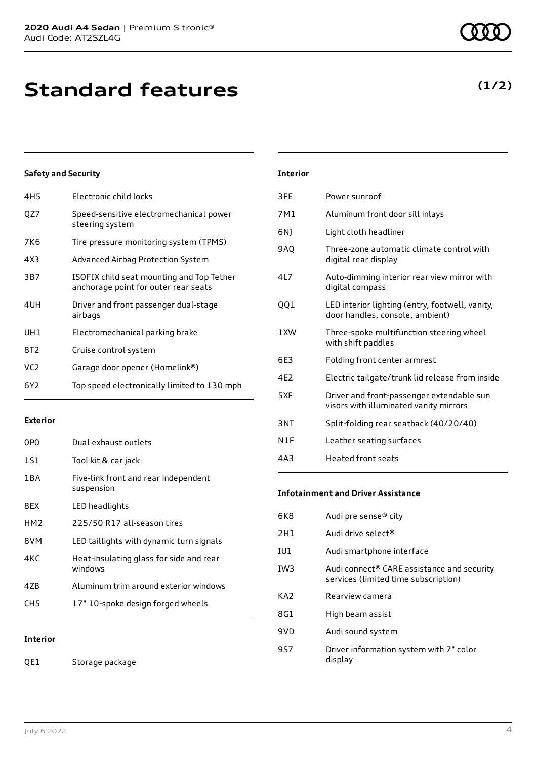| 4H5 | Electronic child locks                                                            |
|-----|-----------------------------------------------------------------------------------|
| QZ7 | Speed-sensitive electromechanical power<br>steering system                        |
| 7K6 | Tire pressure monitoring system (TPMS)                                            |
| 4X3 | Advanced Airbag Protection System                                                 |
| 3B7 | ISOFIX child seat mounting and Top Tether<br>anchorage point for outer rear seats |
| 4UH | Driver and front passenger dual-stage<br>airbags                                  |
| UH1 | Electromechanical parking brake                                                   |
| 8T2 | Cruise control system                                                             |
| VC2 | Garage door opener (Homelink®)                                                    |
| 6Y2 | Top speed electronically limited to 130 mph                                       |
|     |                                                                                   |

#### **Exterior**

| 0PO             | Dual exhaust outlets                               |
|-----------------|----------------------------------------------------|
| 1S1             | Tool kit & car jack                                |
| 1 B A           | Five-link front and rear independent<br>suspension |
| 8FX             | LED headlights                                     |
| HM <sub>2</sub> | 225/50 R17 all-season tires                        |
| 8VM             | LED taillights with dynamic turn signals           |
| 4KC             | Heat-insulating glass for side and rear<br>windows |
| 47B             | Aluminum trim around exterior windows              |
| CH5             | 17" 10-spoke design forged wheels                  |
|                 |                                                    |

**Interior**

QE1 Storage package

| Interior |
|----------|
|          |

| 3FE             | Power sunroof                                                                       |
|-----------------|-------------------------------------------------------------------------------------|
| 7M1             | Aluminum front door sill inlays                                                     |
| 6N1             | Light cloth headliner                                                               |
| <b>9AO</b>      | Three-zone automatic climate control with<br>digital rear display                   |
| 417             | Auto-dimming interior rear view mirror with<br>digital compass                      |
| 001             | LED interior lighting (entry, footwell, vanity,<br>door handles, console, ambient)  |
| 1 XW            | Three-spoke multifunction steering wheel<br>with shift paddles                      |
| 6E3             | Folding front center armrest                                                        |
| 4F <sub>2</sub> | Electric tailgate/trunk lid release from inside                                     |
| 5XF             | Driver and front-passenger extendable sun<br>visors with illuminated vanity mirrors |
| 3NT             | Split-folding rear seatback (40/20/40)                                              |
| N1F             | Leather seating surfaces                                                            |
| 4A3             | Heated front seats                                                                  |
|                 |                                                                                     |

#### **Infotainment and Driver Assistance**

| 6K8             | Audi pre sense® city                                                                           |
|-----------------|------------------------------------------------------------------------------------------------|
| 2H1             | Audi drive select <sup>®</sup>                                                                 |
| IU1             | Audi smartphone interface                                                                      |
| IW <sub>3</sub> | Audi connect <sup>®</sup> CARE assistance and security<br>services (limited time subscription) |
| KA <sub>2</sub> | Rearview camera                                                                                |
|                 |                                                                                                |
| 8G1             | High beam assist                                                                               |
| 9VD             | Audi sound system                                                                              |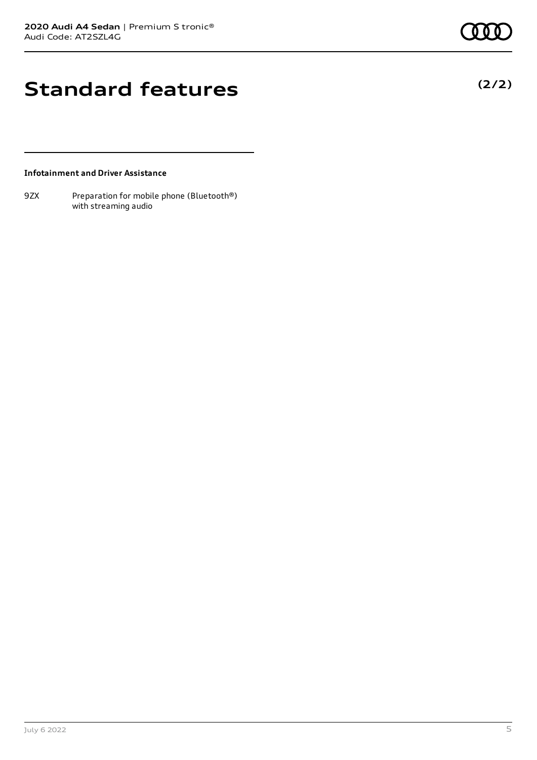# **Standard features**

#### **Infotainment and Driver Assistance**

9ZX Preparation for mobile phone (Bluetooth®) with streaming audio

**(2/2)**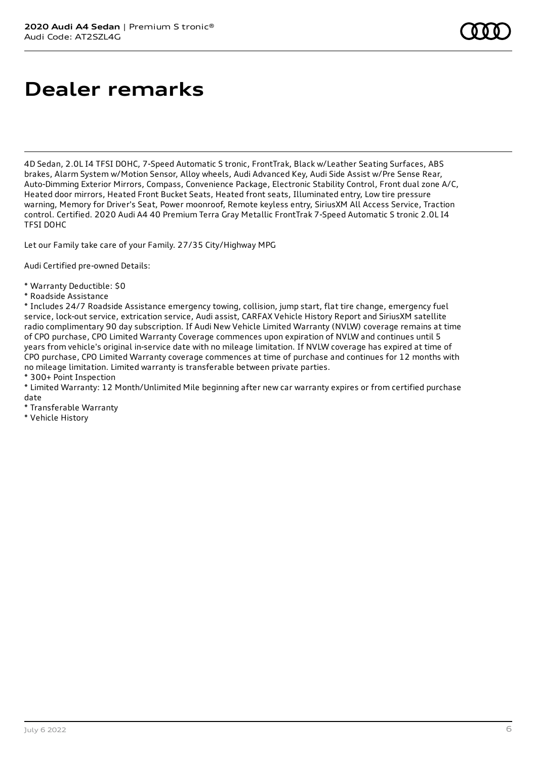### **Dealer remarks**

4D Sedan, 2.0L I4 TFSI DOHC, 7-Speed Automatic S tronic, FrontTrak, Black w/Leather Seating Surfaces, ABS brakes, Alarm System w/Motion Sensor, Alloy wheels, Audi Advanced Key, Audi Side Assist w/Pre Sense Rear, Auto-Dimming Exterior Mirrors, Compass, Convenience Package, Electronic Stability Control, Front dual zone A/C, Heated door mirrors, Heated Front Bucket Seats, Heated front seats, Illuminated entry, Low tire pressure warning, Memory for Driver's Seat, Power moonroof, Remote keyless entry, SiriusXM All Access Service, Traction control. Certified. 2020 Audi A4 40 Premium Terra Gray Metallic FrontTrak 7-Speed Automatic S tronic 2.0L I4 TFSI DOHC

Let our Family take care of your Family. 27/35 City/Highway MPG

Audi Certified pre-owned Details:

- \* Warranty Deductible: \$0
- \* Roadside Assistance

\* Includes 24/7 Roadside Assistance emergency towing, collision, jump start, flat tire change, emergency fuel service, lock-out service, extrication service, Audi assist, CARFAX Vehicle History Report and SiriusXM satellite radio complimentary 90 day subscription. If Audi New Vehicle Limited Warranty (NVLW) coverage remains at time of CPO purchase, CPO Limited Warranty Coverage commences upon expiration of NVLW and continues until 5 years from vehicle's original in-service date with no mileage limitation. If NVLW coverage has expired at time of CPO purchase, CPO Limited Warranty coverage commences at time of purchase and continues for 12 months with no mileage limitation. Limited warranty is transferable between private parties.

\* 300+ Point Inspection

\* Limited Warranty: 12 Month/Unlimited Mile beginning after new car warranty expires or from certified purchase date

- \* Transferable Warranty
- \* Vehicle History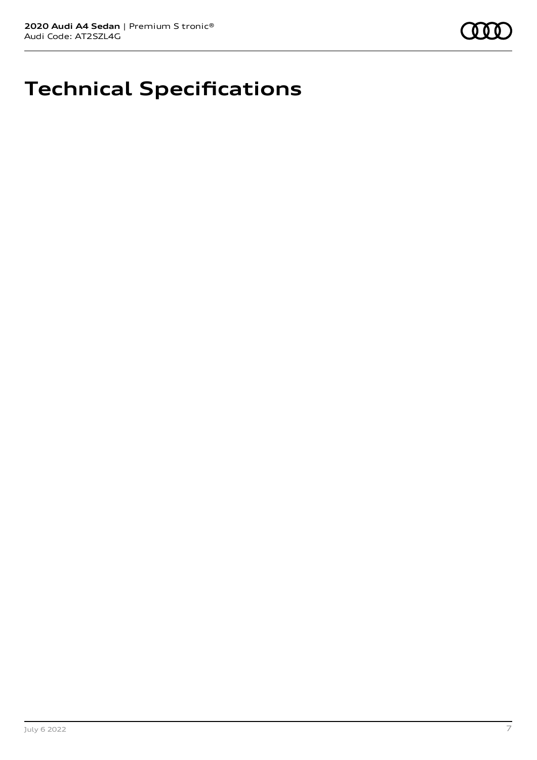

## **Technical Specifications**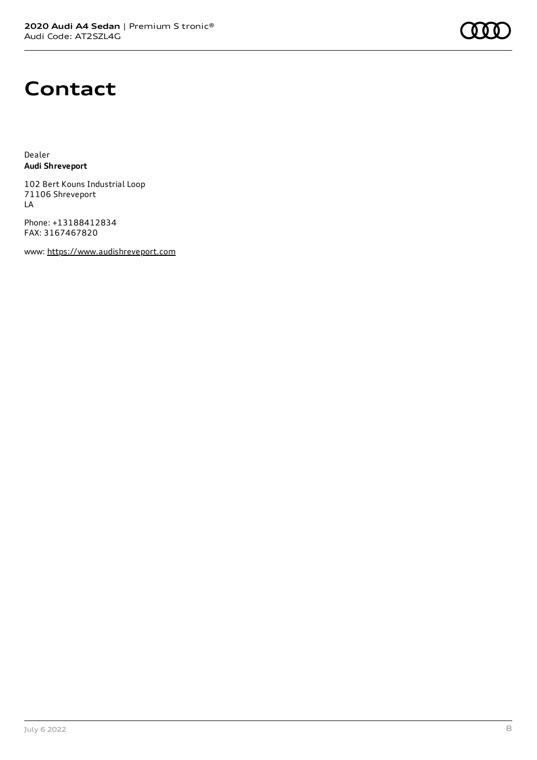### **Contact**

Dealer **Audi Shreveport**

102 Bert Kouns Industrial Loop 71106 Shreveport LA

Phone: +13188412834 FAX: 3167467820

www: [https://www.audishreveport.com](https://www.audishreveport.com/)